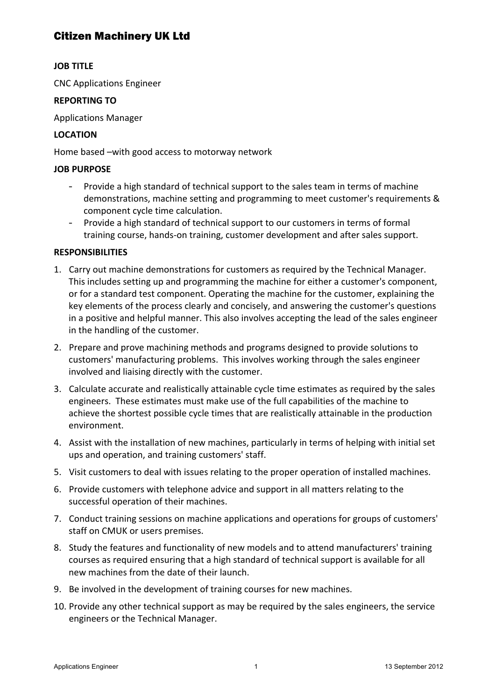## Citizen Machinery UK Ltd

## **JOB TITLE**

CNC Applications Engineer

#### **REPORTING TO**

Applications Manager

## **LOCATION**

Home based -with good access to motorway network

## **JOB PURPOSE**

- Provide a high standard of technical support to the sales team in terms of machine demonstrations, machine setting and programming to meet customer's requirements & component cycle time calculation.
- Provide a high standard of technical support to our customers in terms of formal training course, hands-on training, customer development and after sales support.

## **RESPONSIBILITIES**

- 1. Carry out machine demonstrations for customers as required by the Technical Manager. This includes setting up and programming the machine for either a customer's component, or for a standard test component. Operating the machine for the customer, explaining the key elements of the process clearly and concisely, and answering the customer's questions in a positive and helpful manner. This also involves accepting the lead of the sales engineer in the handling of the customer.
- 2. Prepare and prove machining methods and programs designed to provide solutions to customers' manufacturing problems. This involves working through the sales engineer involved and liaising directly with the customer.
- 3. Calculate accurate and realistically attainable cycle time estimates as required by the sales engineers. These estimates must make use of the full capabilities of the machine to achieve the shortest possible cycle times that are realistically attainable in the production environment.
- 4. Assist with the installation of new machines, particularly in terms of helping with initial set ups and operation, and training customers' staff.
- 5. Visit customers to deal with issues relating to the proper operation of installed machines.
- 6. Provide customers with telephone advice and support in all matters relating to the successful operation of their machines.
- 7. Conduct training sessions on machine applications and operations for groups of customers' staff on CMUK or users premises.
- 8. Study the features and functionality of new models and to attend manufacturers' training courses as required ensuring that a high standard of technical support is available for all new machines from the date of their launch.
- 9. Be involved in the development of training courses for new machines.
- 10. Provide any other technical support as may be required by the sales engineers, the service engineers or the Technical Manager.